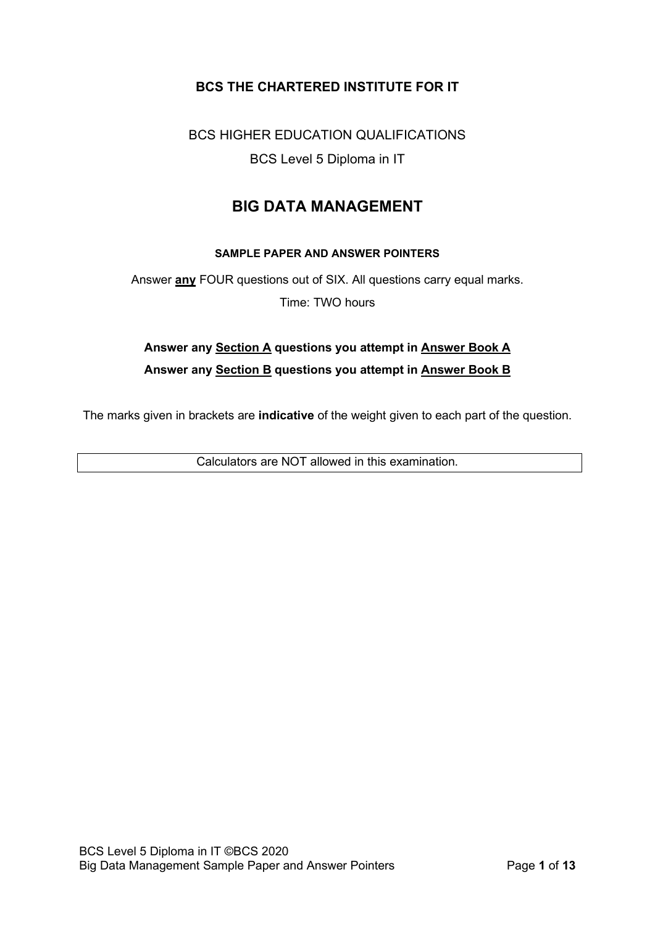## **BCS THE CHARTERED INSTITUTE FOR IT**

BCS HIGHER EDUCATION QUALIFICATIONS BCS Level 5 Diploma in IT

# **BIG DATA MANAGEMENT**

#### **SAMPLE PAPER AND ANSWER POINTERS**

Answer **any** FOUR questions out of SIX. All questions carry equal marks. Time: TWO hours

# **Answer any Section A questions you attempt in Answer Book A Answer any Section B questions you attempt in Answer Book B**

The marks given in brackets are **indicative** of the weight given to each part of the question.

Calculators are NOT allowed in this examination.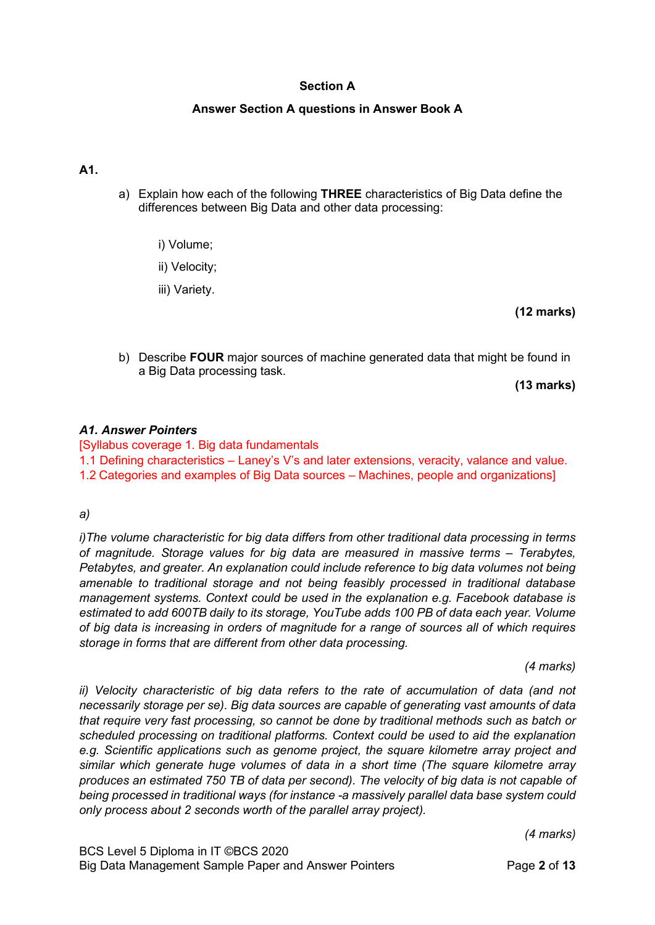### **Section A**

#### **Answer Section A questions in Answer Book A**

#### **A1.**

- a) Explain how each of the following **THREE** characteristics of Big Data define the differences between Big Data and other data processing:
	- i) Volume;
	- ii) Velocity;
	- iii) Variety.

**(12 marks)**

b) Describe **FOUR** major sources of machine generated data that might be found in a Big Data processing task.

**(13 marks)**

#### *A1. Answer Pointers*

[Syllabus coverage 1. Big data fundamentals 1.1 Defining characteristics – Laney's V's and later extensions, veracity, valance and value. 1.2 Categories and examples of Big Data sources – Machines, people and organizations]

#### *a)*

*i)The volume characteristic for big data differs from other traditional data processing in terms of magnitude. Storage values for big data are measured in massive terms – Terabytes, Petabytes, and greater. An explanation could include reference to big data volumes not being amenable to traditional storage and not being feasibly processed in traditional database management systems. Context could be used in the explanation e.g. Facebook database is estimated to add 600TB daily to its storage, YouTube adds 100 PB of data each year. Volume of big data is increasing in orders of magnitude for a range of sources all of which requires storage in forms that are different from other data processing.* 

*(4 marks)*

*ii) Velocity characteristic of big data refers to the rate of accumulation of data (and not necessarily storage per se). Big data sources are capable of generating vast amounts of data that require very fast processing, so cannot be done by traditional methods such as batch or scheduled processing on traditional platforms. Context could be used to aid the explanation e.g. Scientific applications such as genome project, the square kilometre array project and similar which generate huge volumes of data in a short time (The square kilometre array produces an estimated 750 TB of data per second). The velocity of big data is not capable of being processed in traditional ways (for instance -a massively parallel data base system could only process about 2 seconds worth of the parallel array project).*

*(4 marks)*

BCS Level 5 Diploma in IT ©BCS 2020 Big Data Management Sample Paper and Answer Pointers Page **2** of **13**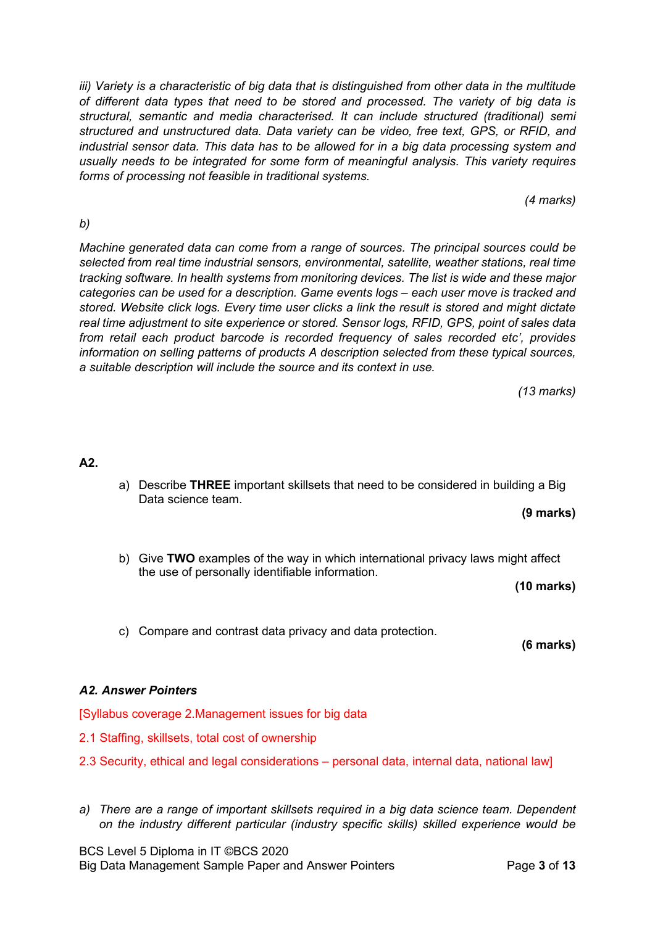*iii) Variety is a characteristic of big data that is distinguished from other data in the multitude of different data types that need to be stored and processed. The variety of big data is structural, semantic and media characterised. It can include structured (traditional) semi structured and unstructured data. Data variety can be video, free text, GPS, or RFID, and industrial sensor data. This data has to be allowed for in a big data processing system and usually needs to be integrated for some form of meaningful analysis. This variety requires forms of processing not feasible in traditional systems.*

*(4 marks)*

### *b)*

*Machine generated data can come from a range of sources. The principal sources could be selected from real time industrial sensors, environmental, satellite, weather stations, real time tracking software. In health systems from monitoring devices. The list is wide and these major categories can be used for a description. Game events logs – each user move is tracked and stored. Website click logs. Every time user clicks a link the result is stored and might dictate real time adjustment to site experience or stored. Sensor logs, RFID, GPS, point of sales data from retail each product barcode is recorded frequency of sales recorded etc', provides information on selling patterns of products A description selected from these typical sources, a suitable description will include the source and its context in use.*

*(13 marks)*

#### **A2.**

- a) Describe **THREE** important skillsets that need to be considered in building a Big Data science team.
	- **(9 marks)**
- b) Give **TWO** examples of the way in which international privacy laws might affect the use of personally identifiable information.

**(10 marks)**

c) Compare and contrast data privacy and data protection.

**(6 marks)**

#### *A2. Answer Pointers*

[Syllabus coverage 2.Management issues for big data

- 2.1 Staffing, skillsets, total cost of ownership
- 2.3 Security, ethical and legal considerations personal data, internal data, national law]
- *a) There are a range of important skillsets required in a big data science team. Dependent on the industry different particular (industry specific skills) skilled experience would be*

BCS Level 5 Diploma in IT ©BCS 2020 Big Data Management Sample Paper and Answer Pointers **Page 3** of 13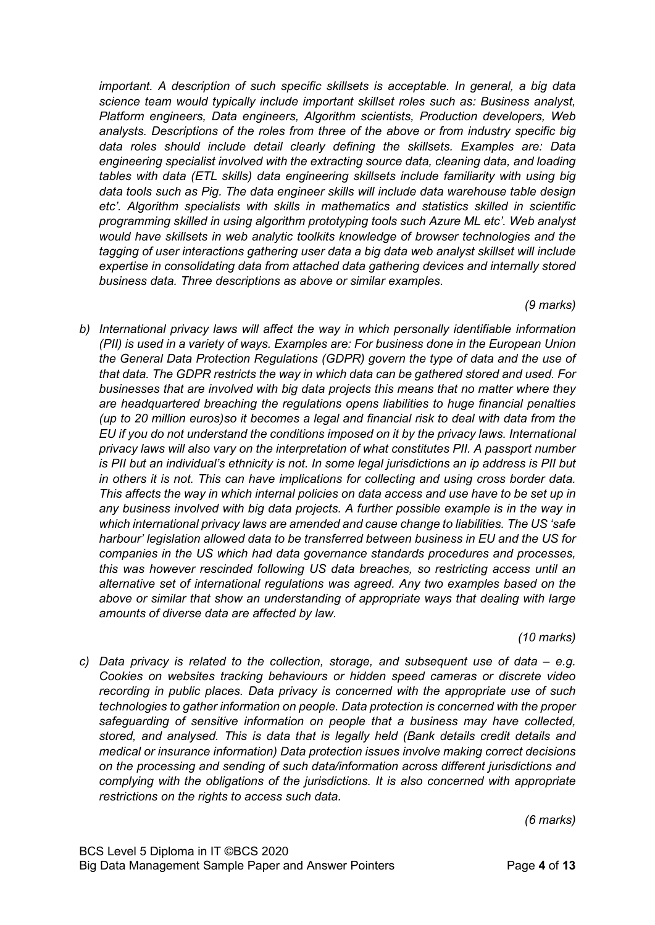*important. A description of such specific skillsets is acceptable. In general, a big data science team would typically include important skillset roles such as: Business analyst, Platform engineers, Data engineers, Algorithm scientists, Production developers, Web analysts. Descriptions of the roles from three of the above or from industry specific big data roles should include detail clearly defining the skillsets. Examples are: Data engineering specialist involved with the extracting source data, cleaning data, and loading tables with data (ETL skills) data engineering skillsets include familiarity with using big data tools such as Pig. The data engineer skills will include data warehouse table design etc'. Algorithm specialists with skills in mathematics and statistics skilled in scientific programming skilled in using algorithm prototyping tools such Azure ML etc'. Web analyst would have skillsets in web analytic toolkits knowledge of browser technologies and the tagging of user interactions gathering user data a big data web analyst skillset will include expertise in consolidating data from attached data gathering devices and internally stored business data. Three descriptions as above or similar examples.*

#### *(9 marks)*

*b) International privacy laws will affect the way in which personally identifiable information (PII) is used in a variety of ways. Examples are: For business done in the European Union the General Data Protection Regulations (GDPR) govern the type of data and the use of that data. The GDPR restricts the way in which data can be gathered stored and used. For businesses that are involved with big data projects this means that no matter where they are headquartered breaching the regulations opens liabilities to huge financial penalties (up to 20 million euros)so it becomes a legal and financial risk to deal with data from the EU if you do not understand the conditions imposed on it by the privacy laws. International privacy laws will also vary on the interpretation of what constitutes PII. A passport number is PII but an individual's ethnicity is not. In some legal jurisdictions an ip address is PII but in others it is not. This can have implications for collecting and using cross border data. This affects the way in which internal policies on data access and use have to be set up in any business involved with big data projects. A further possible example is in the way in which international privacy laws are amended and cause change to liabilities. The US 'safe harbour' legislation allowed data to be transferred between business in EU and the US for companies in the US which had data governance standards procedures and processes, this was however rescinded following US data breaches, so restricting access until an alternative set of international regulations was agreed. Any two examples based on the above or similar that show an understanding of appropriate ways that dealing with large amounts of diverse data are affected by law.*

*(10 marks)*

*c) Data privacy is related to the collection, storage, and subsequent use of data – e.g. Cookies on websites tracking behaviours or hidden speed cameras or discrete video recording in public places. Data privacy is concerned with the appropriate use of such technologies to gather information on people. Data protection is concerned with the proper safeguarding of sensitive information on people that a business may have collected, stored, and analysed. This is data that is legally held (Bank details credit details and medical or insurance information) Data protection issues involve making correct decisions on the processing and sending of such data/information across different jurisdictions and complying with the obligations of the jurisdictions. It is also concerned with appropriate restrictions on the rights to access such data.*

*(6 marks)*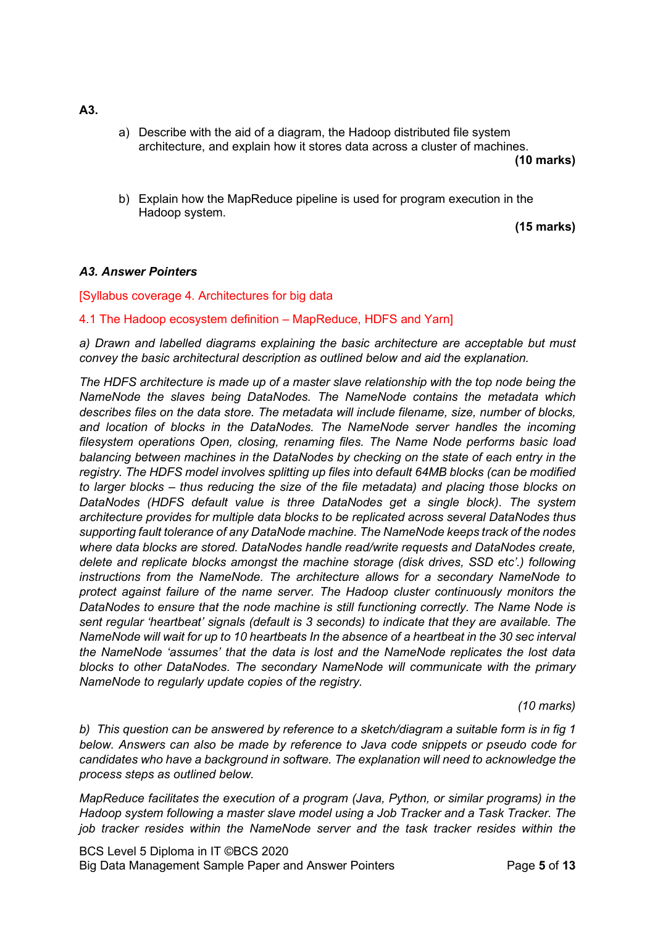- **A3.**
- a) Describe with the aid of a diagram, the Hadoop distributed file system architecture, and explain how it stores data across a cluster of machines.

**(10 marks)**

b) Explain how the MapReduce pipeline is used for program execution in the Hadoop system.

**(15 marks)**

#### *A3. Answer Pointers*

#### [Syllabus coverage 4. Architectures for big data

#### 4.1 The Hadoop ecosystem definition – MapReduce, HDFS and Yarn]

*a) Drawn and labelled diagrams explaining the basic architecture are acceptable but must convey the basic architectural description as outlined below and aid the explanation.*

*The HDFS architecture is made up of a master slave relationship with the top node being the NameNode the slaves being DataNodes. The NameNode contains the metadata which describes files on the data store. The metadata will include filename, size, number of blocks, and location of blocks in the DataNodes. The NameNode server handles the incoming filesystem operations Open, closing, renaming files. The Name Node performs basic load balancing between machines in the DataNodes by checking on the state of each entry in the registry. The HDFS model involves splitting up files into default 64MB blocks (can be modified to larger blocks – thus reducing the size of the file metadata) and placing those blocks on DataNodes (HDFS default value is three DataNodes get a single block). The system architecture provides for multiple data blocks to be replicated across several DataNodes thus supporting fault tolerance of any DataNode machine. The NameNode keeps track of the nodes where data blocks are stored. DataNodes handle read/write requests and DataNodes create, delete and replicate blocks amongst the machine storage (disk drives, SSD etc'.) following instructions from the NameNode. The architecture allows for a secondary NameNode to protect against failure of the name server. The Hadoop cluster continuously monitors the DataNodes to ensure that the node machine is still functioning correctly. The Name Node is sent regular 'heartbeat' signals (default is 3 seconds) to indicate that they are available. The NameNode will wait for up to 10 heartbeats In the absence of a heartbeat in the 30 sec interval the NameNode 'assumes' that the data is lost and the NameNode replicates the lost data blocks to other DataNodes. The secondary NameNode will communicate with the primary NameNode to regularly update copies of the registry.*

*(10 marks)*

*b) This question can be answered by reference to a sketch/diagram a suitable form is in fig 1 below. Answers can also be made by reference to Java code snippets or pseudo code for candidates who have a background in software. The explanation will need to acknowledge the process steps as outlined below.*

*MapReduce facilitates the execution of a program (Java, Python, or similar programs) in the Hadoop system following a master slave model using a Job Tracker and a Task Tracker. The job tracker resides within the NameNode server and the task tracker resides within the* 

BCS Level 5 Diploma in IT ©BCS 2020 Big Data Management Sample Paper and Answer Pointers Page **5** of **13**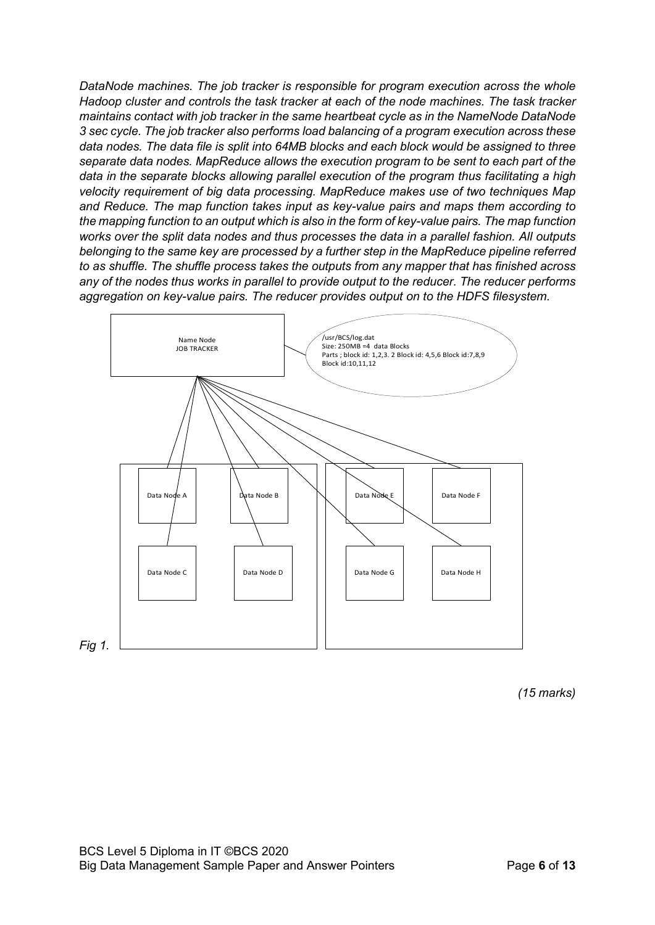*DataNode machines. The job tracker is responsible for program execution across the whole Hadoop cluster and controls the task tracker at each of the node machines. The task tracker maintains contact with job tracker in the same heartbeat cycle as in the NameNode DataNode 3 sec cycle. The job tracker also performs load balancing of a program execution across these data nodes. The data file is split into 64MB blocks and each block would be assigned to three separate data nodes. MapReduce allows the execution program to be sent to each part of the data in the separate blocks allowing parallel execution of the program thus facilitating a high velocity requirement of big data processing. MapReduce makes use of two techniques Map and Reduce. The map function takes input as key-value pairs and maps them according to the mapping function to an output which is also in the form of key-value pairs. The map function works over the split data nodes and thus processes the data in a parallel fashion. All outputs belonging to the same key are processed by a further step in the MapReduce pipeline referred to as shuffle. The shuffle process takes the outputs from any mapper that has finished across any of the nodes thus works in parallel to provide output to the reducer. The reducer performs aggregation on key-value pairs. The reducer provides output on to the HDFS filesystem.*



*(15 marks)*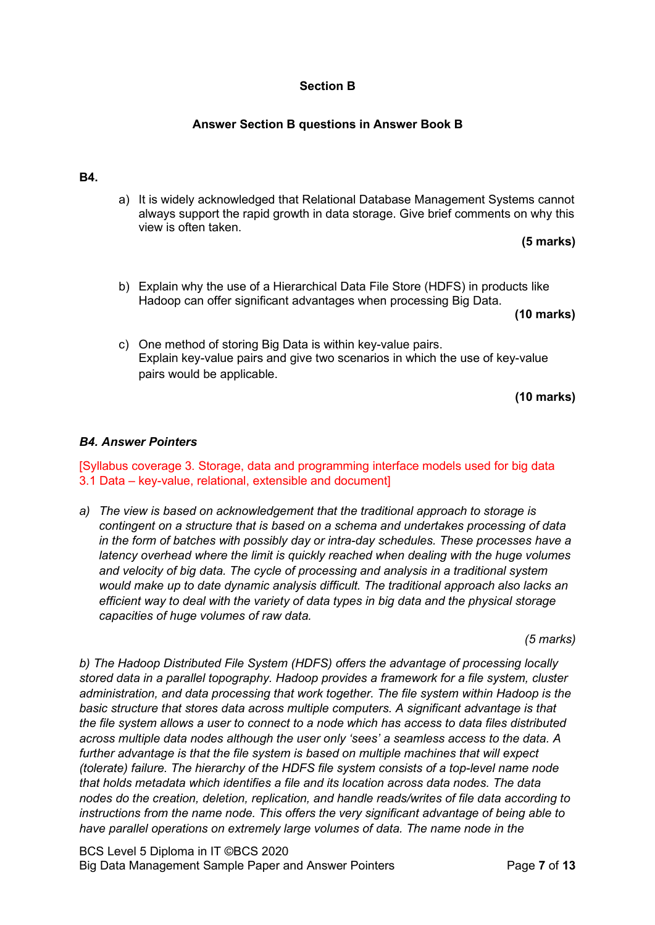#### **Section B**

### **Answer Section B questions in Answer Book B**

#### **B4.**

a) It is widely acknowledged that Relational Database Management Systems cannot always support the rapid growth in data storage. Give brief comments on why this view is often taken.

**(5 marks)**

b) Explain why the use of a Hierarchical Data File Store (HDFS) in products like Hadoop can offer significant advantages when processing Big Data.

**(10 marks)**

c) One method of storing Big Data is within key-value pairs. Explain key-value pairs and give two scenarios in which the use of key-value pairs would be applicable.

**(10 marks)**

#### *B4. Answer Pointers*

[Syllabus coverage 3. Storage, data and programming interface models used for big data 3.1 Data – key-value, relational, extensible and document]

*a) The view is based on acknowledgement that the traditional approach to storage is contingent on a structure that is based on a schema and undertakes processing of data in the form of batches with possibly day or intra-day schedules. These processes have a latency overhead where the limit is quickly reached when dealing with the huge volumes and velocity of big data. The cycle of processing and analysis in a traditional system would make up to date dynamic analysis difficult. The traditional approach also lacks an efficient way to deal with the variety of data types in big data and the physical storage capacities of huge volumes of raw data.*

*(5 marks)*

*b) The Hadoop Distributed File System (HDFS) offers the advantage of processing locally stored data in a parallel topography. Hadoop provides a framework for a file system, cluster administration, and data processing that work together. The file system within Hadoop is the basic structure that stores data across multiple computers. A significant advantage is that the file system allows a user to connect to a node which has access to data files distributed across multiple data nodes although the user only 'sees' a seamless access to the data. A further advantage is that the file system is based on multiple machines that will expect (tolerate) failure. The hierarchy of the HDFS file system consists of a top-level name node that holds metadata which identifies a file and its location across data nodes. The data nodes do the creation, deletion, replication, and handle reads/writes of file data according to instructions from the name node. This offers the very significant advantage of being able to have parallel operations on extremely large volumes of data. The name node in the* 

BCS Level 5 Diploma in IT ©BCS 2020 Big Data Management Sample Paper and Answer Pointers Page **7** of **13**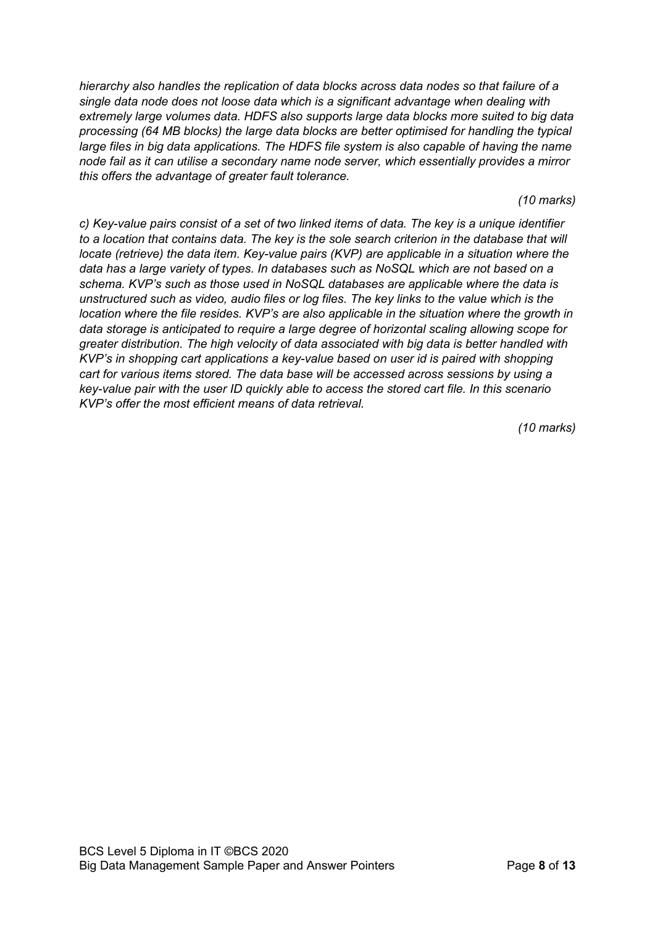*hierarchy also handles the replication of data blocks across data nodes so that failure of a single data node does not loose data which is a significant advantage when dealing with extremely large volumes data. HDFS also supports large data blocks more suited to big data processing (64 MB blocks) the large data blocks are better optimised for handling the typical large files in big data applications. The HDFS file system is also capable of having the name node fail as it can utilise a secondary name node server, which essentially provides a mirror this offers the advantage of greater fault tolerance.*

*(10 marks)*

*c) Key-value pairs consist of a set of two linked items of data. The key is a unique identifier to a location that contains data. The key is the sole search criterion in the database that will locate (retrieve) the data item. Key-value pairs (KVP) are applicable in a situation where the data has a large variety of types. In databases such as NoSQL which are not based on a schema. KVP's such as those used in NoSQL databases are applicable where the data is unstructured such as video, audio files or log files. The key links to the value which is the location where the file resides. KVP's are also applicable in the situation where the growth in data storage is anticipated to require a large degree of horizontal scaling allowing scope for greater distribution. The high velocity of data associated with big data is better handled with KVP's in shopping cart applications a key-value based on user id is paired with shopping cart for various items stored. The data base will be accessed across sessions by using a key-value pair with the user ID quickly able to access the stored cart file. In this scenario KVP's offer the most efficient means of data retrieval.*

*(10 marks)*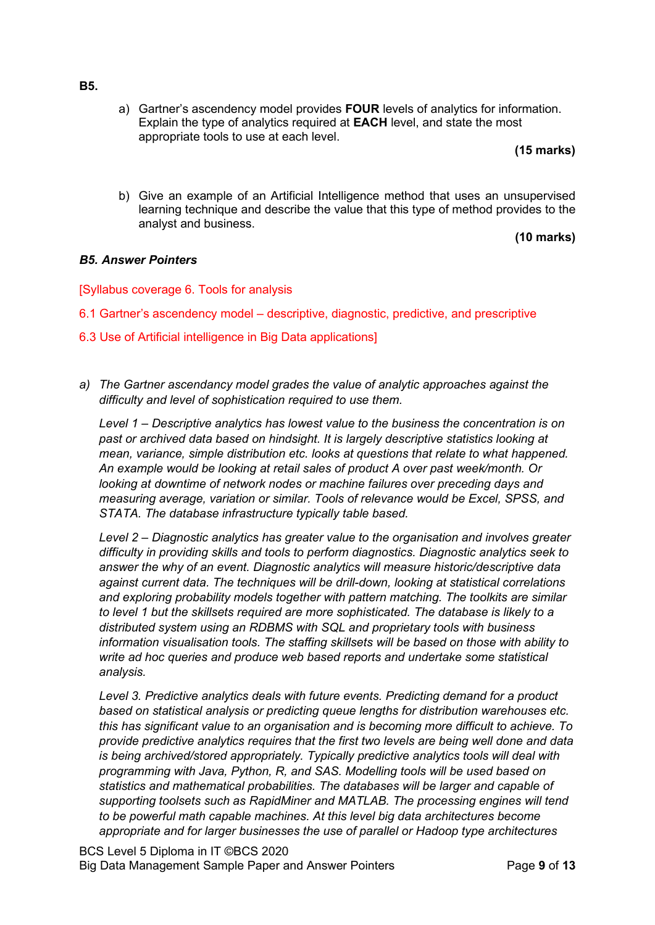a) Gartner's ascendency model provides **FOUR** levels of analytics for information. Explain the type of analytics required at **EACH** level, and state the most appropriate tools to use at each level.

**(15 marks)**

b) Give an example of an Artificial Intelligence method that uses an unsupervised learning technique and describe the value that this type of method provides to the analyst and business.

**(10 marks)**

#### *B5. Answer Pointers*

[Syllabus coverage 6. Tools for analysis

- 6.1 Gartner's ascendency model descriptive, diagnostic, predictive, and prescriptive
- 6.3 Use of Artificial intelligence in Big Data applications]
- *a) The Gartner ascendancy model grades the value of analytic approaches against the difficulty and level of sophistication required to use them.*

*Level 1 – Descriptive analytics has lowest value to the business the concentration is on past or archived data based on hindsight. It is largely descriptive statistics looking at mean, variance, simple distribution etc. looks at questions that relate to what happened. An example would be looking at retail sales of product A over past week/month. Or looking at downtime of network nodes or machine failures over preceding days and measuring average, variation or similar. Tools of relevance would be Excel, SPSS, and STATA. The database infrastructure typically table based.*

*Level 2 – Diagnostic analytics has greater value to the organisation and involves greater difficulty in providing skills and tools to perform diagnostics. Diagnostic analytics seek to answer the why of an event. Diagnostic analytics will measure historic/descriptive data against current data. The techniques will be drill-down, looking at statistical correlations and exploring probability models together with pattern matching. The toolkits are similar to level 1 but the skillsets required are more sophisticated. The database is likely to a distributed system using an RDBMS with SQL and proprietary tools with business information visualisation tools. The staffing skillsets will be based on those with ability to write ad hoc queries and produce web based reports and undertake some statistical analysis.*

*Level 3. Predictive analytics deals with future events. Predicting demand for a product based on statistical analysis or predicting queue lengths for distribution warehouses etc. this has significant value to an organisation and is becoming more difficult to achieve. To provide predictive analytics requires that the first two levels are being well done and data is being archived/stored appropriately. Typically predictive analytics tools will deal with programming with Java, Python, R, and SAS. Modelling tools will be used based on statistics and mathematical probabilities. The databases will be larger and capable of supporting toolsets such as RapidMiner and MATLAB. The processing engines will tend to be powerful math capable machines. At this level big data architectures become appropriate and for larger businesses the use of parallel or Hadoop type architectures* 

#### **B5.**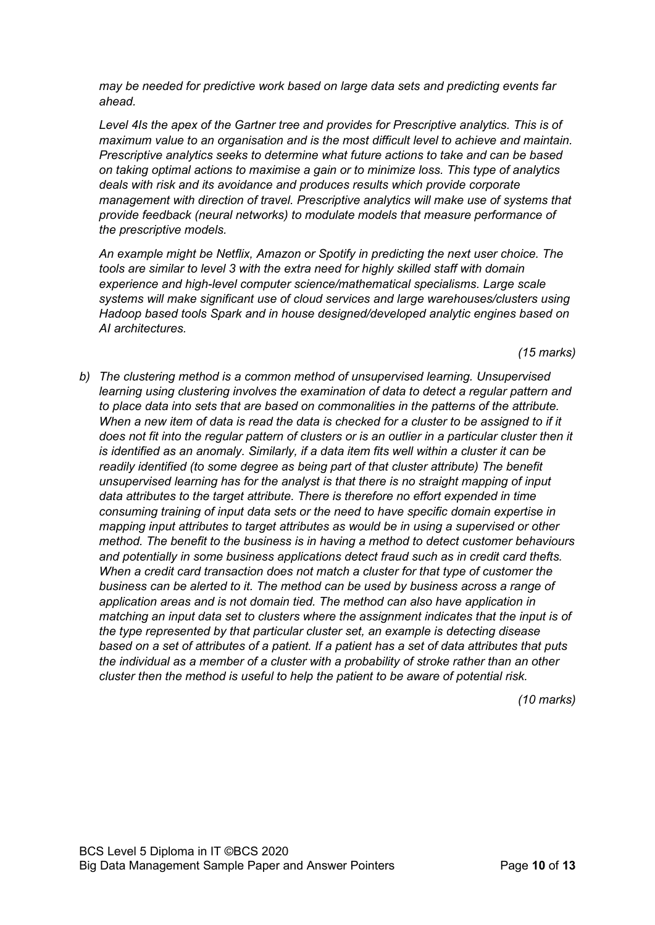*may be needed for predictive work based on large data sets and predicting events far ahead.*

*Level 4Is the apex of the Gartner tree and provides for Prescriptive analytics. This is of maximum value to an organisation and is the most difficult level to achieve and maintain. Prescriptive analytics seeks to determine what future actions to take and can be based on taking optimal actions to maximise a gain or to minimize loss. This type of analytics deals with risk and its avoidance and produces results which provide corporate management with direction of travel. Prescriptive analytics will make use of systems that provide feedback (neural networks) to modulate models that measure performance of the prescriptive models.*

*An example might be Netflix, Amazon or Spotify in predicting the next user choice. The tools are similar to level 3 with the extra need for highly skilled staff with domain experience and high-level computer science/mathematical specialisms. Large scale systems will make significant use of cloud services and large warehouses/clusters using Hadoop based tools Spark and in house designed/developed analytic engines based on AI architectures.*

*(15 marks)*

*b) The clustering method is a common method of unsupervised learning. Unsupervised learning using clustering involves the examination of data to detect a regular pattern and to place data into sets that are based on commonalities in the patterns of the attribute. When a new item of data is read the data is checked for a cluster to be assigned to if it does not fit into the regular pattern of clusters or is an outlier in a particular cluster then it is identified as an anomaly. Similarly, if a data item fits well within a cluster it can be readily identified (to some degree as being part of that cluster attribute) The benefit unsupervised learning has for the analyst is that there is no straight mapping of input data attributes to the target attribute. There is therefore no effort expended in time consuming training of input data sets or the need to have specific domain expertise in mapping input attributes to target attributes as would be in using a supervised or other method. The benefit to the business is in having a method to detect customer behaviours and potentially in some business applications detect fraud such as in credit card thefts. When a credit card transaction does not match a cluster for that type of customer the business can be alerted to it. The method can be used by business across a range of application areas and is not domain tied. The method can also have application in matching an input data set to clusters where the assignment indicates that the input is of the type represented by that particular cluster set, an example is detecting disease based on a set of attributes of a patient. If a patient has a set of data attributes that puts the individual as a member of a cluster with a probability of stroke rather than an other cluster then the method is useful to help the patient to be aware of potential risk.*

*(10 marks)*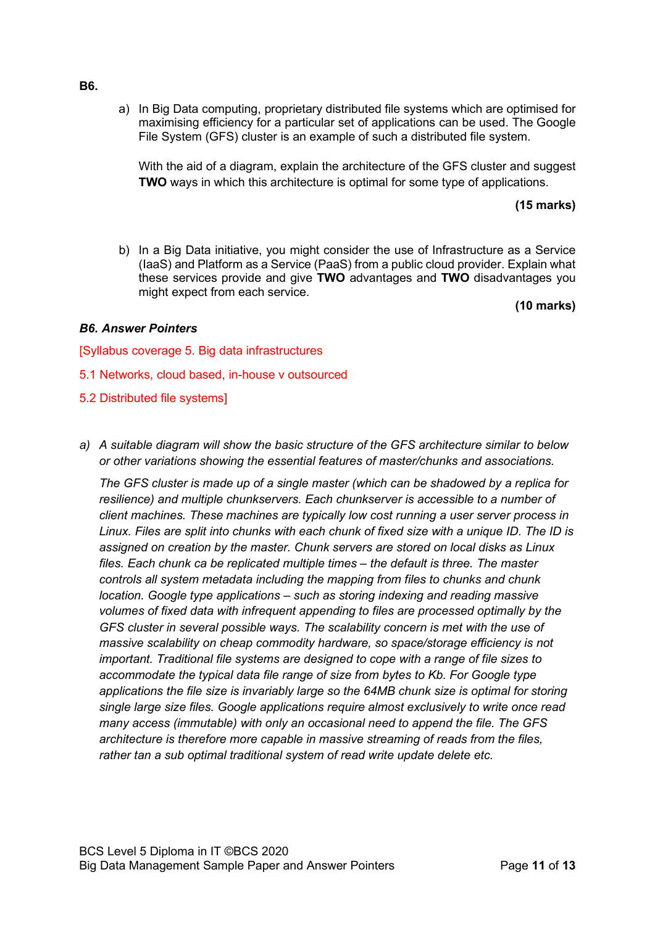a) In Big Data computing, proprietary distributed file systems which are optimised for maximising efficiency for a particular set of applications can be used. The Google File System (GFS) cluster is an example of such a distributed file system.

With the aid of a diagram, explain the architecture of the GFS cluster and suggest **TWO** ways in which this architecture is optimal for some type of applications.

#### **(15 marks)**

b) In a Big Data initiative, you might consider the use of Infrastructure as a Service (IaaS) and Platform as a Service (PaaS) from a public cloud provider. Explain what these services provide and give **TWO** advantages and **TWO** disadvantages you might expect from each service.

**(10 marks)**

#### *B6. Answer Pointers*

[Syllabus coverage 5. Big data infrastructures

- 5.1 Networks, cloud based, in-house v outsourced
- 5.2 Distributed file systems]
- *a) A suitable diagram will show the basic structure of the GFS architecture similar to below or other variations showing the essential features of master/chunks and associations.*

*The GFS cluster is made up of a single master (which can be shadowed by a replica for resilience) and multiple chunkservers. Each chunkserver is accessible to a number of client machines. These machines are typically low cost running a user server process in Linux. Files are split into chunks with each chunk of fixed size with a unique ID. The ID is assigned on creation by the master. Chunk servers are stored on local disks as Linux files. Each chunk ca be replicated multiple times – the default is three. The master controls all system metadata including the mapping from files to chunks and chunk location. Google type applications – such as storing indexing and reading massive volumes of fixed data with infrequent appending to files are processed optimally by the GFS cluster in several possible ways. The scalability concern is met with the use of massive scalability on cheap commodity hardware, so space/storage efficiency is not important. Traditional file systems are designed to cope with a range of file sizes to accommodate the typical data file range of size from bytes to Kb. For Google type applications the file size is invariably large so the 64MB chunk size is optimal for storing single large size files. Google applications require almost exclusively to write once read many access (immutable) with only an occasional need to append the file. The GFS architecture is therefore more capable in massive streaming of reads from the files, rather tan a sub optimal traditional system of read write update delete etc.*

**B6.**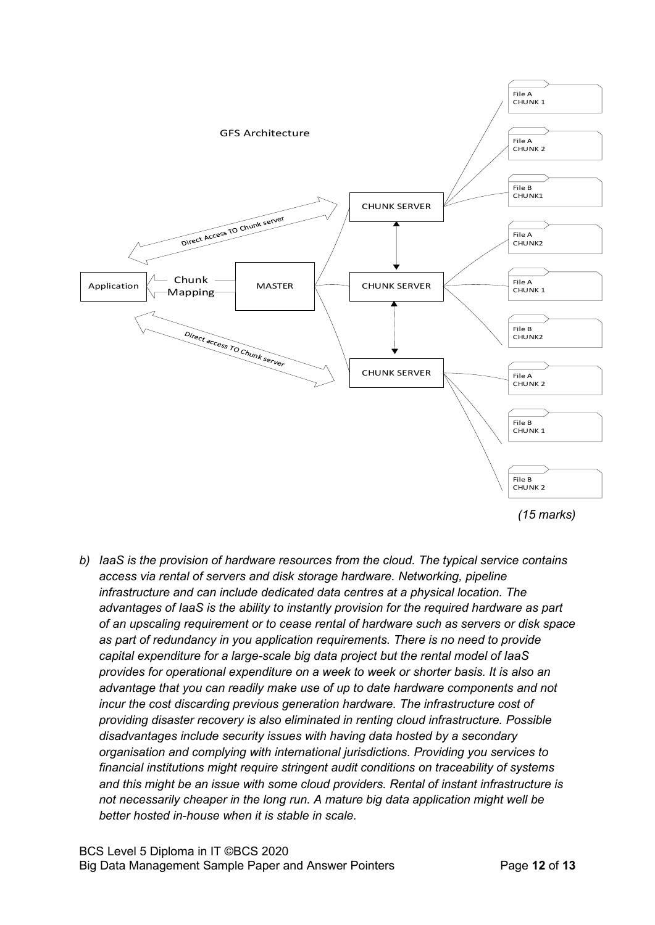

*b) IaaS is the provision of hardware resources from the cloud. The typical service contains access via rental of servers and disk storage hardware. Networking, pipeline infrastructure and can include dedicated data centres at a physical location. The advantages of IaaS is the ability to instantly provision for the required hardware as part of an upscaling requirement or to cease rental of hardware such as servers or disk space as part of redundancy in you application requirements. There is no need to provide capital expenditure for a large-scale big data project but the rental model of IaaS provides for operational expenditure on a week to week or shorter basis. It is also an advantage that you can readily make use of up to date hardware components and not incur the cost discarding previous generation hardware. The infrastructure cost of providing disaster recovery is also eliminated in renting cloud infrastructure. Possible disadvantages include security issues with having data hosted by a secondary organisation and complying with international jurisdictions. Providing you services to financial institutions might require stringent audit conditions on traceability of systems and this might be an issue with some cloud providers. Rental of instant infrastructure is not necessarily cheaper in the long run. A mature big data application might well be better hosted in-house when it is stable in scale.*